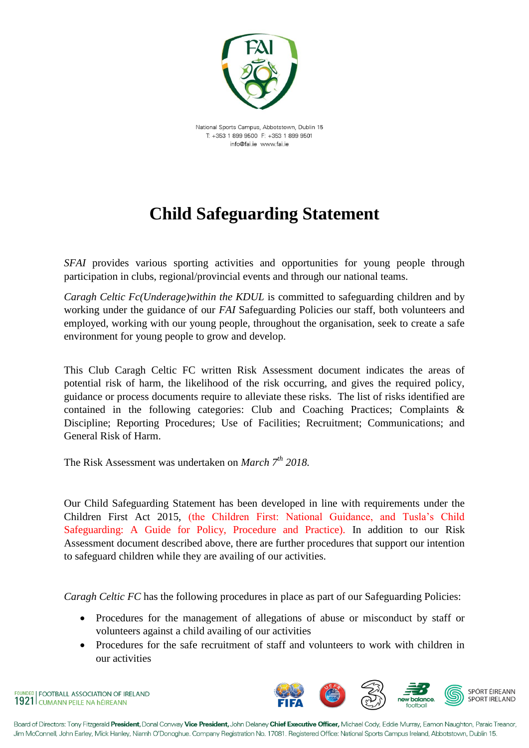

National Sports Campus, Abbotstown, Dublin 15  $T + 353$  1 899 9500  $F + 353$  1 899 9501 info@fai.ie www.fai.ie

## **Child Safeguarding Statement**

*SFAI* provides various sporting activities and opportunities for young people through participation in clubs, regional/provincial events and through our national teams.

*Caragh Celtic Fc(Underage)within the KDUL* is committed to safeguarding children and by working under the guidance of our *FAI* Safeguarding Policies our staff, both volunteers and employed, working with our young people, throughout the organisation, seek to create a safe environment for young people to grow and develop.

This Club Caragh Celtic FC written Risk Assessment document indicates the areas of potential risk of harm, the likelihood of the risk occurring, and gives the required policy, guidance or process documents require to alleviate these risks.The list of risks identified are contained in the following categories: Club and Coaching Practices; Complaints & Discipline; Reporting Procedures; Use of Facilities; Recruitment; Communications; and General Risk of Harm.

The Risk Assessment was undertaken on *March 7th 2018.*

Our Child Safeguarding Statement has been developed in line with requirements under the Children First Act 2015, (the Children First: National Guidance, and Tusla's Child Safeguarding: A Guide for Policy, Procedure and Practice). In addition to our Risk Assessment document described above, there are further procedures that support our intention to safeguard children while they are availing of our activities.

*Caragh Celtic FC* has the following procedures in place as part of our Safeguarding Policies:

- Procedures for the management of allegations of abuse or misconduct by staff or volunteers against a child availing of our activities
- Procedures for the safe recruitment of staff and volunteers to work with children in our activities

UNDED | FOOTBALL ASSOCIATION OF IRELAND 1921 CUMANN PEILE NA HÉIREANN



Board of Directors: Tony Fitzgerald President, Donal Conway Vice President, John Delaney Chief Executive Officer, Michael Cody, Eddie Murray, Eamon Naughton, Paraic Treanor, Jim McConnell, John Earley, Mick Hanley, Niamh O'Donoghue. Company Registration No. 17081. Registered Office: National Sports Campus Ireland, Abbotstown, Dublin 15.